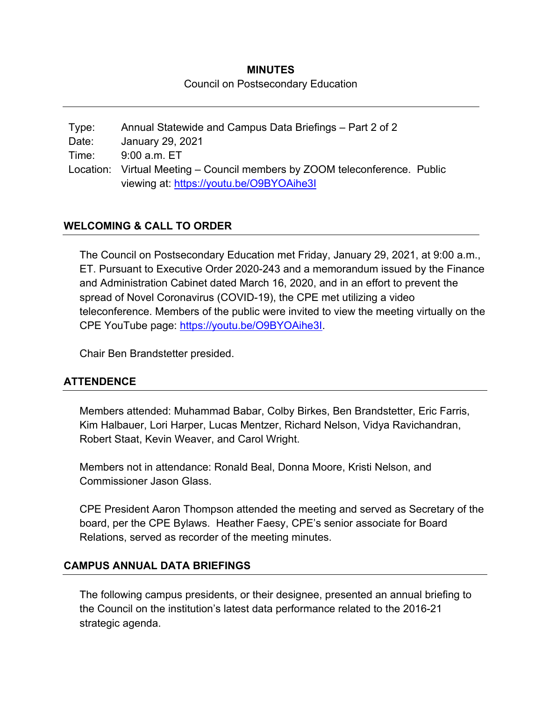# **MINUTES**  Council on Postsecondary Education

Type: Annual Statewide and Campus Data Briefings – Part 2 of 2 Date: January 29, 2021 Time: 9:00 a.m. ET Location: Virtual Meeting – Council members by ZOOM teleconference. Public viewing at: https://youtu.be/O9BYOAihe3I

## **WELCOMING & CALL TO ORDER**

The Council on Postsecondary Education met Friday, January 29, 2021, at 9:00 a.m., ET. Pursuant to Executive Order 2020-243 and a memorandum issued by the Finance and Administration Cabinet dated March 16, 2020, and in an effort to prevent the spread of Novel Coronavirus (COVID-19), the CPE met utilizing a video teleconference. Members of the public were invited to view the meeting virtually on the CPE YouTube page: https://youtu.be/O9BYOAihe3I.

Chair Ben Brandstetter presided.

### **ATTENDENCE**

Members attended: Muhammad Babar, Colby Birkes, Ben Brandstetter, Eric Farris, Kim Halbauer, Lori Harper, Lucas Mentzer, Richard Nelson, Vidya Ravichandran, Robert Staat, Kevin Weaver, and Carol Wright.

Members not in attendance: Ronald Beal, Donna Moore, Kristi Nelson, and Commissioner Jason Glass.

CPE President Aaron Thompson attended the meeting and served as Secretary of the board, per the CPE Bylaws. Heather Faesy, CPE's senior associate for Board Relations, served as recorder of the meeting minutes.

### **CAMPUS ANNUAL DATA BRIEFINGS**

The following campus presidents, or their designee, presented an annual briefing to the Council on the institution's latest data performance related to the 2016-21 strategic agenda.